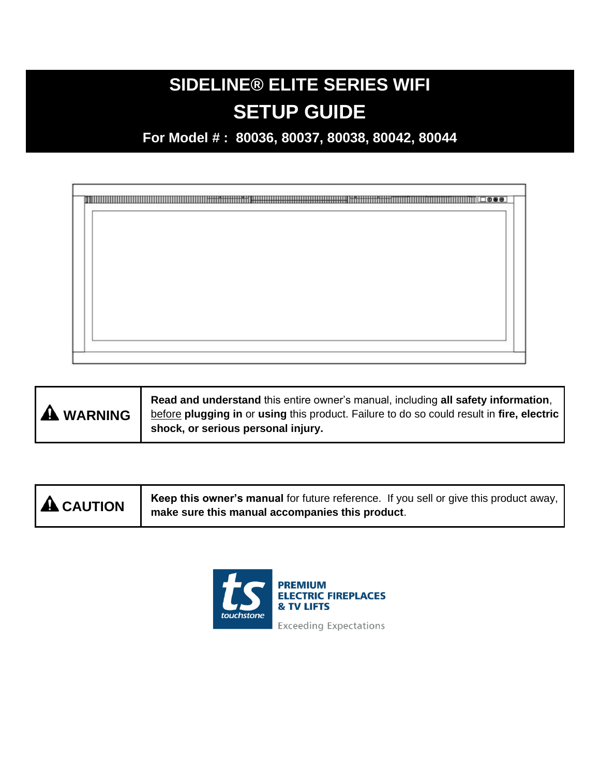# **SIDELINE® ELITE SERIES WIFI SETUP GUIDE**

**For Model # : 80036, 80037, 80038, 80042, 80044**



| <b>A</b> CAUTION | Keep this owner's manual for future reference. If you sell or give this product away, |
|------------------|---------------------------------------------------------------------------------------|
|                  | make sure this manual accompanies this product.                                       |

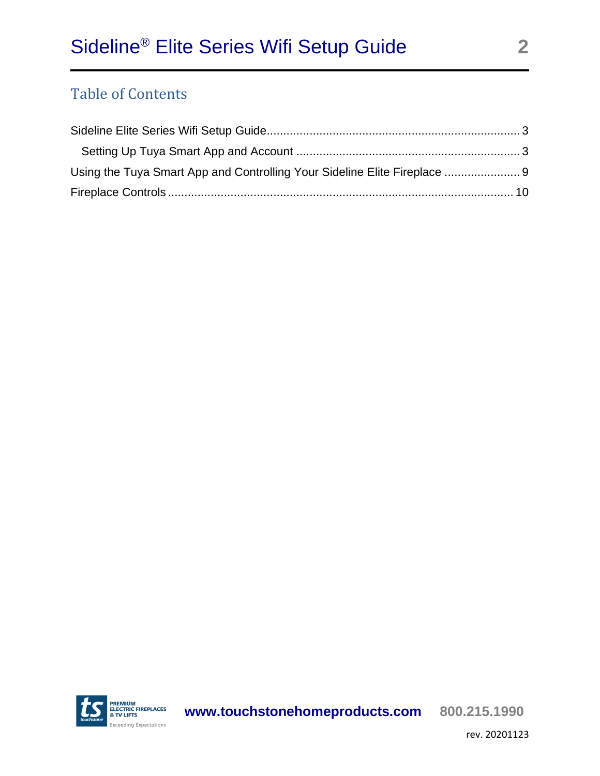### Table of Contents

| Using the Tuya Smart App and Controlling Your Sideline Elite Fireplace |  |
|------------------------------------------------------------------------|--|
|                                                                        |  |

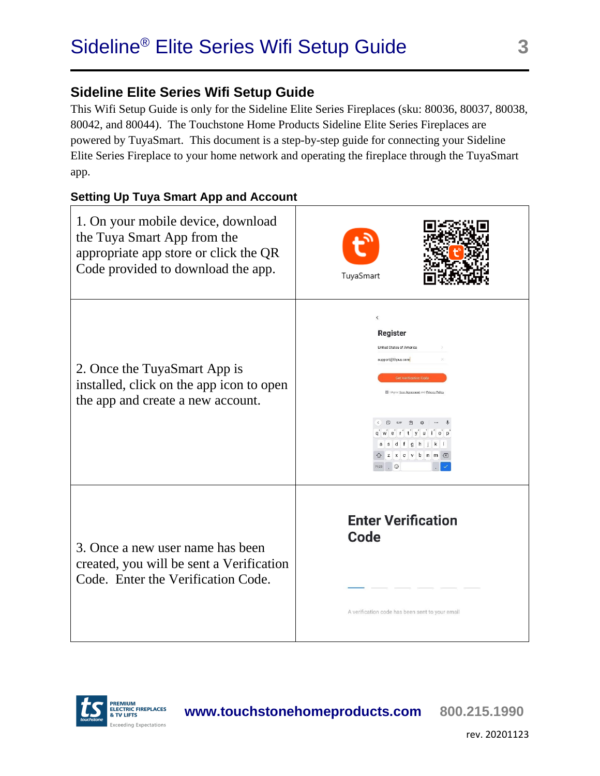<span id="page-2-0"></span>This Wifi Setup Guide is only for the Sideline Elite Series Fireplaces (sku: 80036, 80037, 80038, 80042, and 80044). The Touchstone Home Products Sideline Elite Series Fireplaces are powered by TuyaSmart. This document is a step-by-step guide for connecting your Sideline Elite Series Fireplace to your home network and operating the fireplace through the TuyaSmart app.

#### <span id="page-2-1"></span>**Setting Up Tuya Smart App and Account**

| 1. On your mobile device, download<br>the Tuya Smart App from the<br>appropriate app store or click the QR<br>Code provided to download the app. | TuyaSmart                                                                                                                                                                                                                                                                         |
|--------------------------------------------------------------------------------------------------------------------------------------------------|-----------------------------------------------------------------------------------------------------------------------------------------------------------------------------------------------------------------------------------------------------------------------------------|
| 2. Once the TuyaSmart App is<br>installed, click on the app icon to open<br>the app and create a new account.                                    | $\langle$<br>Register<br>United States of America<br>support@thpus.com<br><b>Get Verification Code</b><br>1 Agree User Agreement and Privacy Policy<br><b>GIF</b><br>信<br>$\Delta$<br>q w e r t y u l o p<br>asdfghjkl<br><b>△</b> z x c v b n m <mark>⊠</mark><br>$2123$ $\odot$ |
| 3. Once a new user name has been<br>created, you will be sent a Verification<br>Code. Enter the Verification Code.                               | <b>Enter Verification</b><br>Code<br>A verification code has been sent to your email                                                                                                                                                                                              |



**www.touchstonehomeproducts.com 800.215.1990**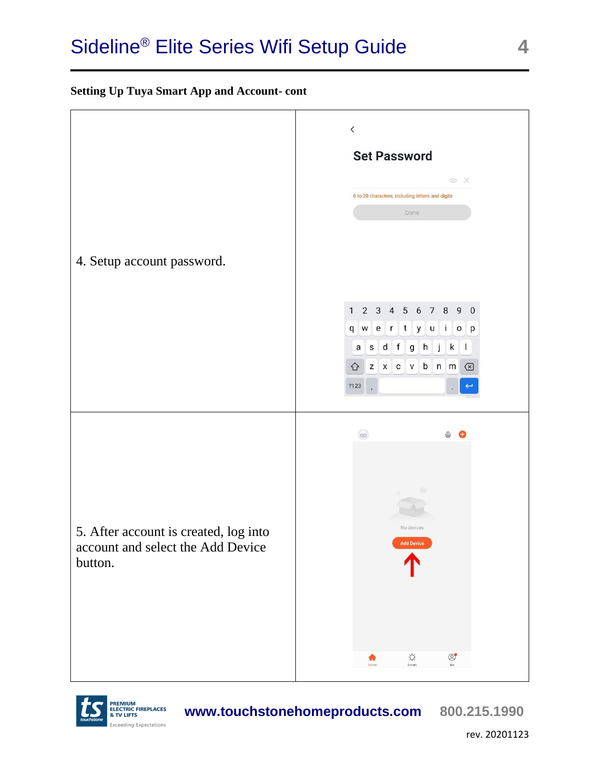#### **Setting Up Tuya Smart App and Account- cont**





**www.touchstonehomeproducts.com 800.215.1990**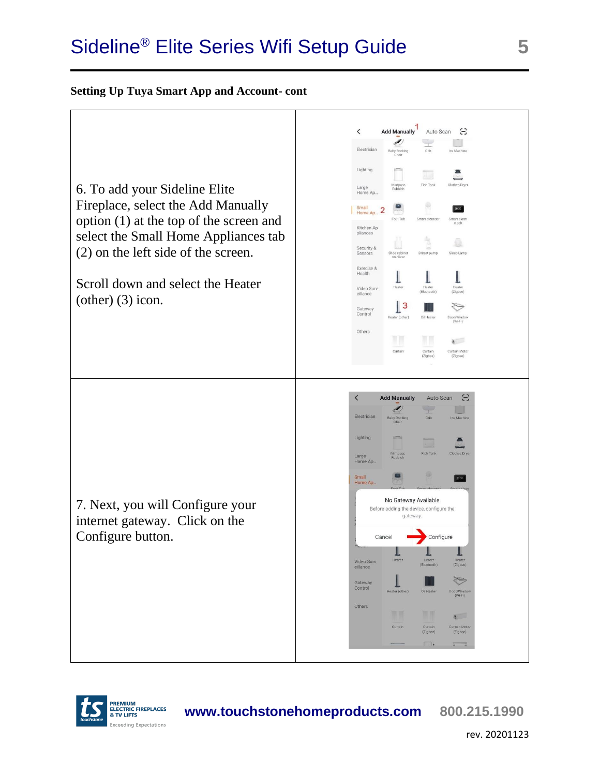#### **Setting Up Tuya Smart App and Account- cont**





**www.touchstonehomeproducts.com 800.215.1990**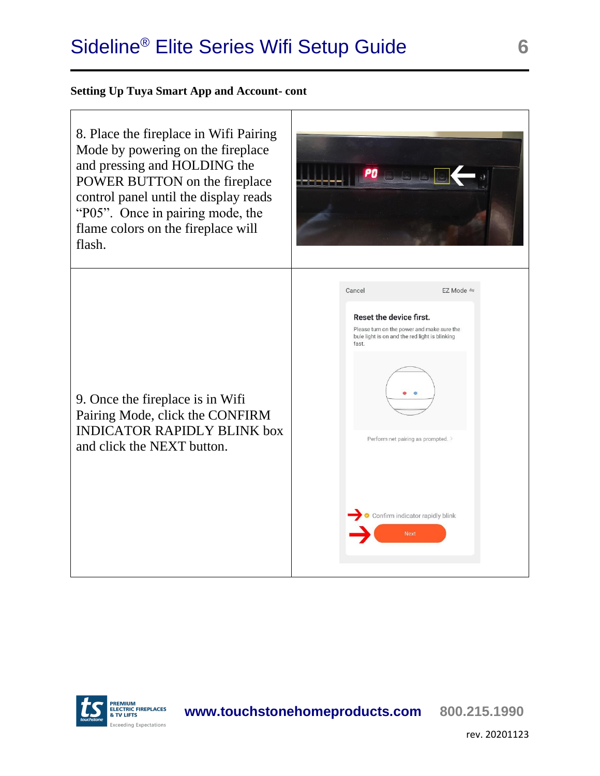#### **Setting Up Tuya Smart App and Account- cont**





**www.touchstonehomeproducts.com 800.215.1990**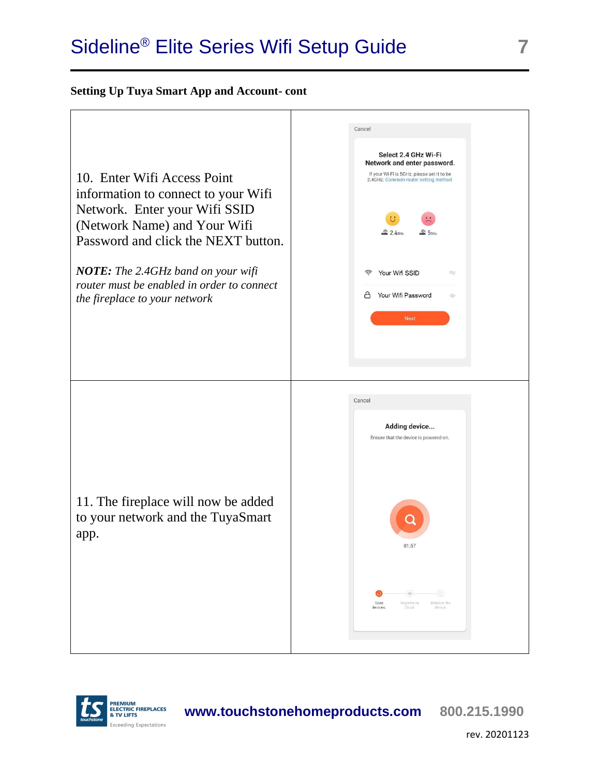#### **Setting Up Tuya Smart App and Account- cont**



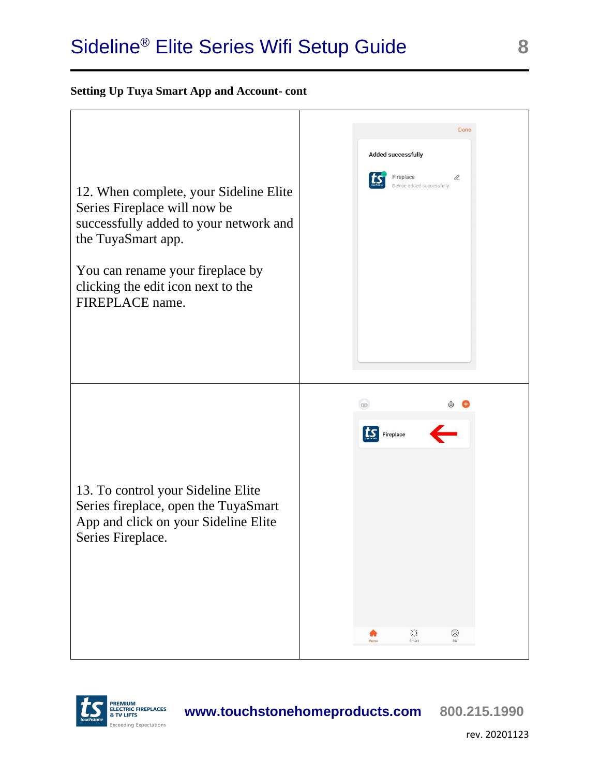#### **Setting Up Tuya Smart App and Account- cont**





**www.touchstonehomeproducts.com 800.215.1990**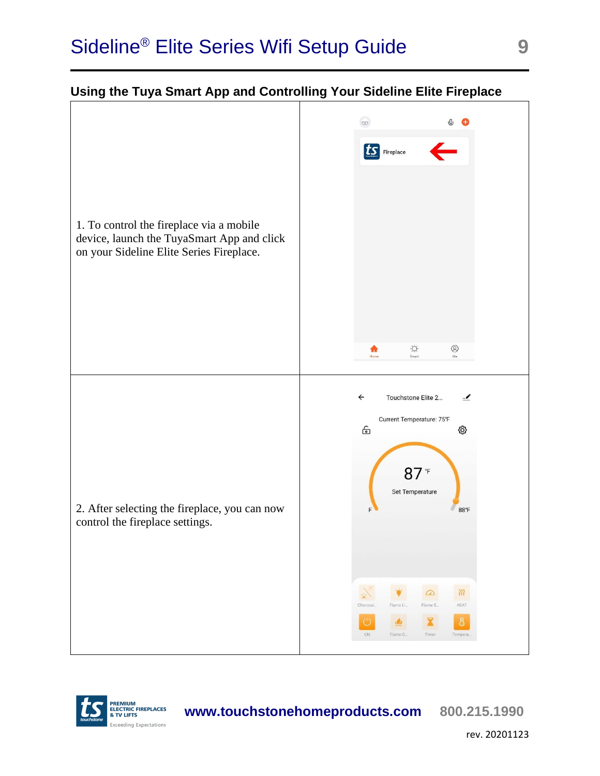<span id="page-8-0"></span>



**www.touchstonehomeproducts.com 800.215.1990**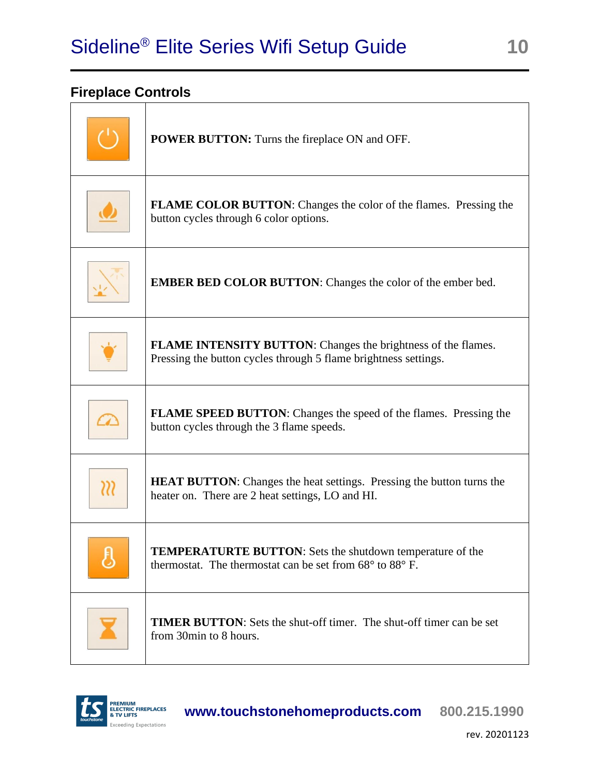### <span id="page-9-0"></span>**Fireplace Controls**

| <b>POWER BUTTON:</b> Turns the fireplace ON and OFF.                                                                                           |
|------------------------------------------------------------------------------------------------------------------------------------------------|
| <b>FLAME COLOR BUTTON:</b> Changes the color of the flames. Pressing the<br>button cycles through 6 color options.                             |
| <b>EMBER BED COLOR BUTTON:</b> Changes the color of the ember bed.                                                                             |
| <b>FLAME INTENSITY BUTTON:</b> Changes the brightness of the flames.<br>Pressing the button cycles through 5 flame brightness settings.        |
| <b>FLAME SPEED BUTTON:</b> Changes the speed of the flames. Pressing the<br>button cycles through the 3 flame speeds.                          |
| <b>HEAT BUTTON:</b> Changes the heat settings. Pressing the button turns the<br>heater on. There are 2 heat settings, LO and HI.               |
| <b>TEMPERATURTE BUTTON:</b> Sets the shutdown temperature of the<br>thermostat. The thermostat can be set from $68^{\circ}$ to $88^{\circ}$ F. |
| <b>TIMER BUTTON:</b> Sets the shut-off timer. The shut-off timer can be set<br>from 30min to 8 hours.                                          |

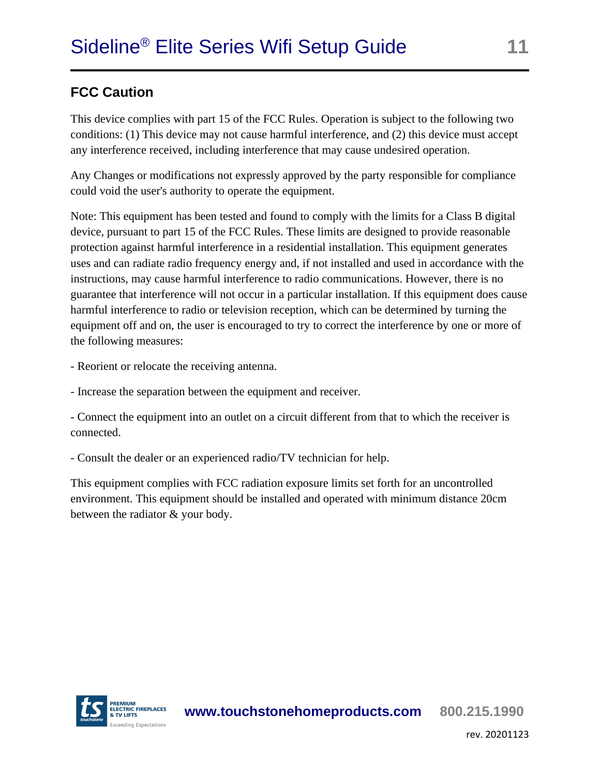### **FCC Caution**

This device complies with part 15 of the FCC Rules. Operation is subject to the following two conditions: (1) This device may not cause harmful interference, and (2) this device must accept any interference received, including interference that may cause undesired operation.

Any Changes or modifications not expressly approved by the party responsible for compliance could void the user's authority to operate the equipment.

Note: This equipment has been tested and found to comply with the limits for a Class B digital device, pursuant to part 15 of the FCC Rules. These limits are designed to provide reasonable protection against harmful interference in a residential installation. This equipment generates uses and can radiate radio frequency energy and, if not installed and used in accordance with the instructions, may cause harmful interference to radio communications. However, there is no guarantee that interference will not occur in a particular installation. If this equipment does cause harmful interference to radio or television reception, which can be determined by turning the equipment off and on, the user is encouraged to try to correct the interference by one or more of the following measures:

- Reorient or relocate the receiving antenna.

- Increase the separation between the equipment and receiver.

- Connect the equipment into an outlet on a circuit different from that to which the receiver is connected.

- Consult the dealer or an experienced radio/TV technician for help.

This equipment complies with FCC radiation exposure limits set forth for an uncontrolled environment. This equipment should be installed and operated with minimum distance 20cm between the radiator & your body.